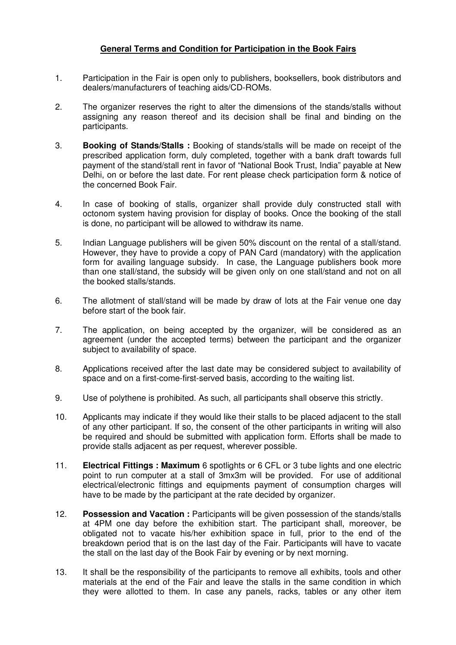## **General Terms and Condition for Participation in the Book Fairs**

- 1. Participation in the Fair is open only to publishers, booksellers, book distributors and dealers/manufacturers of teaching aids/CD-ROMs.
- 2. The organizer reserves the right to alter the dimensions of the stands/stalls without assigning any reason thereof and its decision shall be final and binding on the participants.
- 3. **Booking of Stands/Stalls :** Booking of stands/stalls will be made on receipt of the prescribed application form, duly completed, together with a bank draft towards full payment of the stand/stall rent in favor of "National Book Trust, India" payable at New Delhi, on or before the last date. For rent please check participation form & notice of the concerned Book Fair.
- 4. In case of booking of stalls, organizer shall provide duly constructed stall with octonom system having provision for display of books. Once the booking of the stall is done, no participant will be allowed to withdraw its name.
- 5. Indian Language publishers will be given 50% discount on the rental of a stall/stand. However, they have to provide a copy of PAN Card (mandatory) with the application form for availing language subsidy. In case, the Language publishers book more than one stall/stand, the subsidy will be given only on one stall/stand and not on all the booked stalls/stands.
- 6. The allotment of stall/stand will be made by draw of lots at the Fair venue one day before start of the book fair.
- 7. The application, on being accepted by the organizer, will be considered as an agreement (under the accepted terms) between the participant and the organizer subject to availability of space.
- 8. Applications received after the last date may be considered subject to availability of space and on a first-come-first-served basis, according to the waiting list.
- 9. Use of polythene is prohibited. As such, all participants shall observe this strictly.
- 10. Applicants may indicate if they would like their stalls to be placed adjacent to the stall of any other participant. If so, the consent of the other participants in writing will also be required and should be submitted with application form. Efforts shall be made to provide stalls adjacent as per request, wherever possible.
- 11. **Electrical Fittings : Maximum** 6 spotlights or 6 CFL or 3 tube lights and one electric point to run computer at a stall of 3mx3m will be provided. For use of additional electrical/electronic fittings and equipments payment of consumption charges will have to be made by the participant at the rate decided by organizer.
- 12. **Possession and Vacation :** Participants will be given possession of the stands/stalls at 4PM one day before the exhibition start. The participant shall, moreover, be obligated not to vacate his/her exhibition space in full, prior to the end of the breakdown period that is on the last day of the Fair. Participants will have to vacate the stall on the last day of the Book Fair by evening or by next morning.
- 13. It shall be the responsibility of the participants to remove all exhibits, tools and other materials at the end of the Fair and leave the stalls in the same condition in which they were allotted to them. In case any panels, racks, tables or any other item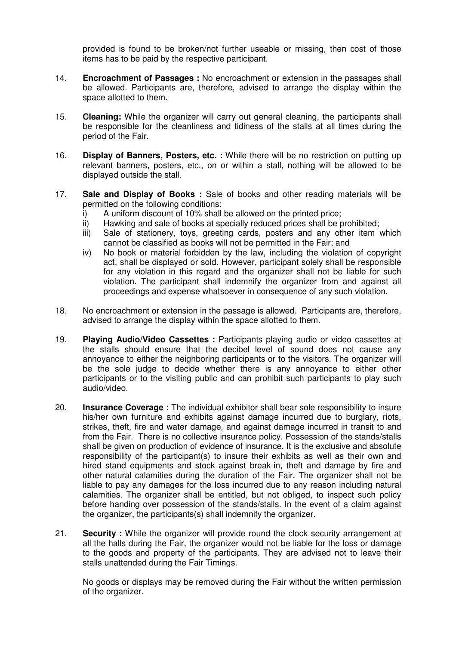provided is found to be broken/not further useable or missing, then cost of those items has to be paid by the respective participant.

- 14. **Encroachment of Passages :** No encroachment or extension in the passages shall be allowed. Participants are, therefore, advised to arrange the display within the space allotted to them.
- 15. **Cleaning:** While the organizer will carry out general cleaning, the participants shall be responsible for the cleanliness and tidiness of the stalls at all times during the period of the Fair.
- 16. **Display of Banners, Posters, etc. :** While there will be no restriction on putting up relevant banners, posters, etc., on or within a stall, nothing will be allowed to be displayed outside the stall.
- 17. **Sale and Display of Books :** Sale of books and other reading materials will be permitted on the following conditions:
	- i) A uniform discount of 10% shall be allowed on the printed price;
	- ii) Hawking and sale of books at specially reduced prices shall be prohibited;
	- iii) Sale of stationery, toys, greeting cards, posters and any other item which cannot be classified as books will not be permitted in the Fair; and
	- iv) No book or material forbidden by the law, including the violation of copyright act, shall be displayed or sold. However, participant solely shall be responsible for any violation in this regard and the organizer shall not be liable for such violation. The participant shall indemnify the organizer from and against all proceedings and expense whatsoever in consequence of any such violation.
- 18. No encroachment or extension in the passage is allowed. Participants are, therefore, advised to arrange the display within the space allotted to them.
- 19. **Playing Audio/Video Cassettes :** Participants playing audio or video cassettes at the stalls should ensure that the decibel level of sound does not cause any annoyance to either the neighboring participants or to the visitors. The organizer will be the sole judge to decide whether there is any annoyance to either other participants or to the visiting public and can prohibit such participants to play such audio/video.
- 20. **Insurance Coverage :** The individual exhibitor shall bear sole responsibility to insure his/her own furniture and exhibits against damage incurred due to burglary, riots, strikes, theft, fire and water damage, and against damage incurred in transit to and from the Fair. There is no collective insurance policy. Possession of the stands/stalls shall be given on production of evidence of insurance. It is the exclusive and absolute responsibility of the participant(s) to insure their exhibits as well as their own and hired stand equipments and stock against break-in, theft and damage by fire and other natural calamities during the duration of the Fair. The organizer shall not be liable to pay any damages for the loss incurred due to any reason including natural calamities. The organizer shall be entitled, but not obliged, to inspect such policy before handing over possession of the stands/stalls. In the event of a claim against the organizer, the participants(s) shall indemnify the organizer.
- 21. **Security :** While the organizer will provide round the clock security arrangement at all the halls during the Fair, the organizer would not be liable for the loss or damage to the goods and property of the participants. They are advised not to leave their stalls unattended during the Fair Timings.

No goods or displays may be removed during the Fair without the written permission of the organizer.